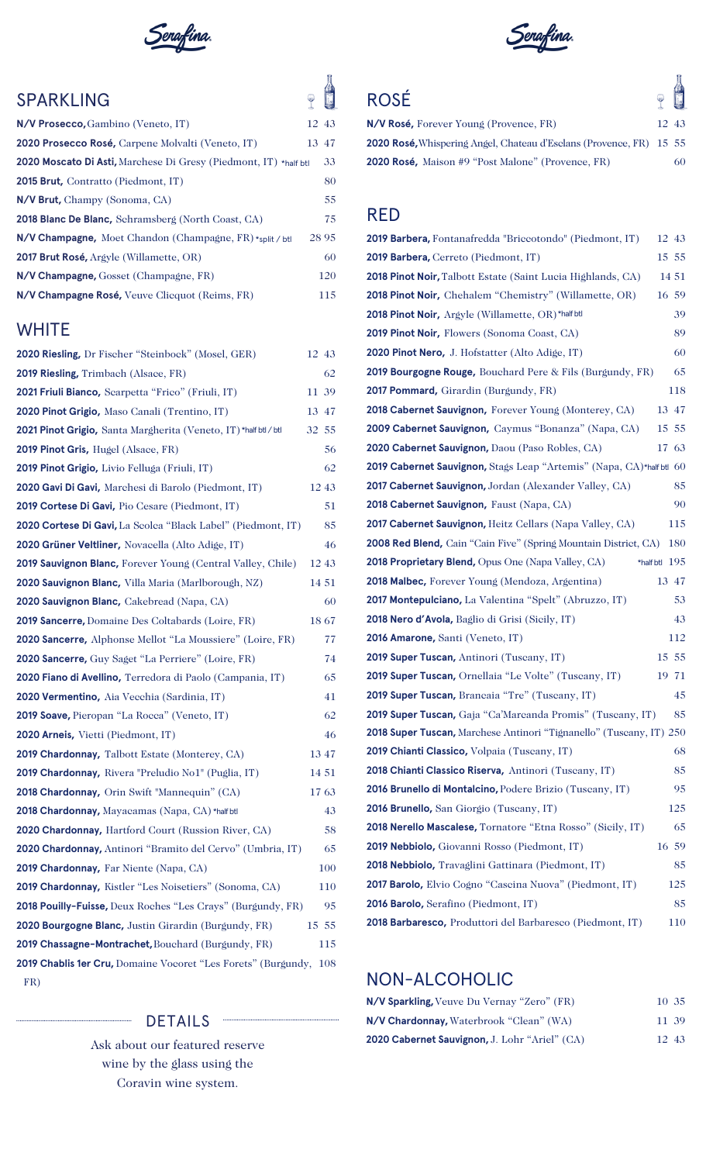

## SPARKLING

| N/V Prosecco, Gambino (Veneto, IT)                               | 12 43 |
|------------------------------------------------------------------|-------|
| 2020 Prosecco Rosé, Carpene Molvalti (Veneto, IT)                | 13 47 |
| 2020 Moscato Di Asti, Marchese Di Gresy (Piedmont, IT) *half btl | 33    |
| 2015 Brut, Contratto (Piedmont, IT)                              | 80    |
| N/V Brut, Champy (Sonoma, CA)                                    | 55    |
| <b>2018 Blanc De Blanc, Schramsberg (North Coast, CA)</b>        | 75    |
| $N/V$ Champagne, Moet Chandon (Champagne, FR) *split / btl       | 28 95 |
| <b>2017 Brut Rosé, Argyle (Willamette, OR)</b>                   | 60    |
| N/V Champagne, Gosset (Champagne, FR)                            | 120   |
| N/V Champagne Rosé, Veuve Clicquot (Reims, FR)                   | 115   |
|                                                                  |       |

## **WHITE**

| 2020 Riesling, Dr Fischer "Steinbock" (Mosel, GER)                 | 12 43 |
|--------------------------------------------------------------------|-------|
| <b>2019 Riesling, Trimbach (Alsace, FR)</b>                        | 62    |
| 2021 Friuli Bianco, Searpetta "Frico" (Friuli, IT)                 | 11 39 |
| 2020 Pinot Grigio, Maso Canali (Trentino, IT)                      | 13 47 |
| 2021 Pinot Grigio, Santa Margherita (Veneto, IT)*half btl / btl    | 32 55 |
| <b>2019 Pinot Gris, Hugel (Alsace, FR)</b>                         | 56    |
| 2019 Pinot Grigio, Livio Felluga (Friuli, IT)                      | 62    |
| 2020 Gavi Di Gavi, Marchesi di Barolo (Piedmont, IT)               | 12 43 |
| 2019 Cortese Di Gavi, Pio Cesare (Piedmont, IT)                    | 51    |
| 2020 Cortese Di Gavi, La Scolca "Black Label" (Piedmont, IT)       | 85    |
| 2020 Grüner Veltliner, Novacella (Alto Adige, IT)                  | 46    |
| <b>2019 Sauvignon Blanc, Forever Young (Central Valley, Chile)</b> | 12 43 |
| 2020 Sauvignon Blanc, Villa Maria (Marlborough, NZ)                | 14 51 |
| 2020 Sauvignon Blanc, Cakebread (Napa, CA)                         | 60    |
| 2019 Sancerre, Domaine Des Coltabards (Loire, FR)                  | 18 67 |
| 2020 Sancerre, Alphonse Mellot "La Moussiere" (Loire, FR)          | 77    |
| <b>2020 Sancerre,</b> Guy Saget "La Perriere" (Loire, FR)          | 74    |
| 2020 Fiano di Avellino, Terredora di Paolo (Campania, IT)          | 65    |
| 2020 Vermentino, Aia Vecchia (Sardinia, IT)                        | 41    |
| <b>2019 Soave, Pieropan "La Rocca" (Veneto, IT)</b>                | 62    |
| <b>2020 Arneis, Vietti (Piedmont, IT)</b>                          | 46    |
| <b>2019 Chardonnay, Talbott Estate (Monterey, CA)</b>              | 13 47 |
| <b>2019 Chardonnay, Rivera "Preludio No1" (Puglia, IT)</b>         | 14 51 |
| <b>2018 Chardonnay, Orin Swift "Mannequin" (CA)</b>                | 1763  |
| 2018 Chardonnay, Mayacamas (Napa, CA) *half btl                    | 43    |
| <b>2020 Chardonnay, Hartford Court (Russion River, CA)</b>         | 58    |
| 2020 Chardonnay, Antinori "Bramito del Cervo" (Umbria, IT)         | 65    |
| <b>2019 Chardonnay, Far Niente (Napa, CA)</b>                      | 100   |
| 2019 Chardonnay, Kistler "Les Noisetiers" (Sonoma, CA)             | 110   |
| 2018 Pouilly-Fuisse, Deux Roches "Les Crays" (Burgundy, FR)        | 95    |
| <b>2020 Bourgogne Blanc, Justin Girardin (Burgundy, FR)</b>        | 15 55 |
| 2019 Chassagne-Montrachet, Bouchard (Burgundy, FR)                 | 115   |
| 2019 Chablis 1er Cru, Domaine Vocoret "Les Forets" (Burgundy,      | 108   |
| FR)                                                                |       |

### DETAILS

Ask about our featured reserve wine by the glass using the Coravin wine system.



# ROSÉ

上海  $\sqrt{ }$ 

|                                                                            |       | and the control of the control of |
|----------------------------------------------------------------------------|-------|-----------------------------------|
| N/V Rosé, Forever Young (Provence, FR)                                     | 12 43 |                                   |
| <b>2020 Rosé,</b> Whispering Angel, Chateau d'Esclans (Provence, FR) 15 55 |       |                                   |
| <b>2020 Rosé,</b> Maison #9 "Post Malone" (Provence, FR)                   |       | 60.                               |

## RED

| <b>2019 Barbera, Fontanafredda "Briccotondo" (Piedmont, IT)</b>        | 12 43           |
|------------------------------------------------------------------------|-----------------|
| 2019 Barbera, Cerreto (Piedmont, IT)                                   | 15 55           |
| <b>2018 Pinot Noir,</b> Talbott Estate (Saint Lucia Highlands, CA)     | 14 51           |
| 2018 Pinot Noir, Chehalem "Chemistry" (Willamette, OR)                 | 16 59           |
| 2018 Pinot Noir, Argyle (Willamette, OR)*half btl                      | 39              |
| <b>2019 Pinot Noir, Flowers (Sonoma Coast, CA)</b>                     | 89              |
| <b>2020 Pinot Nero,</b> J. Hofstatter (Alto Adige, IT)                 | 60              |
| <b>2019 Bourgogne Rouge,</b> Bouchard Pere & Fils (Burgundy, FR)       | 65              |
| <b>2017 Pommard, Girardin (Burgundy, FR)</b>                           | 118             |
| <b>2018 Cabernet Sauvignon, Forever Young (Monterey, CA)</b>           | 13 47           |
| 2009 Cabernet Sauvignon, Caymus "Bonanza" (Napa, CA)                   | 15 55           |
| 2020 Cabernet Sauvignon, Daou (Paso Robles, CA)                        | 17 63           |
| 2019 Cabernet Sauvignon, Stags Leap "Artemis" (Napa, CA)*half btl 60   |                 |
| <b>2017 Cabernet Sauvignon, Jordan (Alexander Valley, CA)</b>          | 85              |
| 2018 Cabernet Sauvignon, Faust (Napa, CA)                              | 90              |
| <b>2017 Cabernet Sauvignon, Heitz Cellars (Napa Valley, CA)</b>        | 115             |
| <b>2008 Red Blend, Cain "Cain Five" (Spring Mountain District, CA)</b> | 180             |
| <b>2018 Proprietary Blend, Opus One (Napa Valley, CA)</b>              | *half btl $195$ |
| <b>2018 Malbec, Forever Young (Mendoza, Argentina)</b>                 | 13 47           |
| <b>2017 Montepulciano,</b> La Valentina "Spelt" (Abruzzo, IT)          | 53              |
| 2018 Nero d'Avola, Baglio di Grisi (Sicily, IT)                        | 43              |
| 2016 Amarone, Santi (Veneto, IT)                                       | 112             |
| 2019 Super Tuscan, Antinori (Tuscany, IT)                              | 15 55           |
| 2019 Super Tuscan, Ornellaia "Le Volte" (Tuscany, IT)                  | 19 71           |
| 2019 Super Tuscan, Brancaia "Tre" (Tuscany, IT)                        | 45              |
| <b>2019 Super Tuscan, Gaja "Ca'Marcanda Promis" (Tuscany, IT)</b>      | 85              |
| 2018 Super Tuscan, Marchese Antinori "Tignanello" (Tuscany, IT) 250    |                 |
| 2019 Chianti Classico, Volpaia (Tuscany, IT)                           | 68              |
| 2018 Chianti Classico Riserva, Antinori (Tuscany, IT)                  | 85              |
| 2016 Brunello di Montalcino, Podere Brizio (Tuscany, IT)               | 95              |
| 2016 Brunello, San Giorgio (Tuscany, IT)                               | 125             |
| 2018 Nerello Mascalese, Tornatore "Etna Rosso" (Sicily, IT)            | 65              |
| 2019 Nebbiolo, Giovanni Rosso (Piedmont, IT)                           | 16 59           |
| 2018 Nebbiolo, Travaglini Gattinara (Piedmont, IT)                     | 85              |
| 2017 Barolo, Elvio Cogno "Cascina Nuova" (Piedmont, IT)                | 125             |
| <b>2016 Barolo, Serafino (Piedmont, IT)</b>                            | 85              |
| 2018 Barbaresco, Produttori del Barbaresco (Piedmont, IT)              | 110             |

## NON-ALCOHOLIC

| N/V Sparkling, Veuve Du Vernay "Zero" (FR)    | 10 35 |  |
|-----------------------------------------------|-------|--|
| N/V Chardonnay, Waterbrook "Clean" (WA)       | 11 39 |  |
| 2020 Cabernet Sauvignon, J. Lohr "Ariel" (CA) | 12 43 |  |